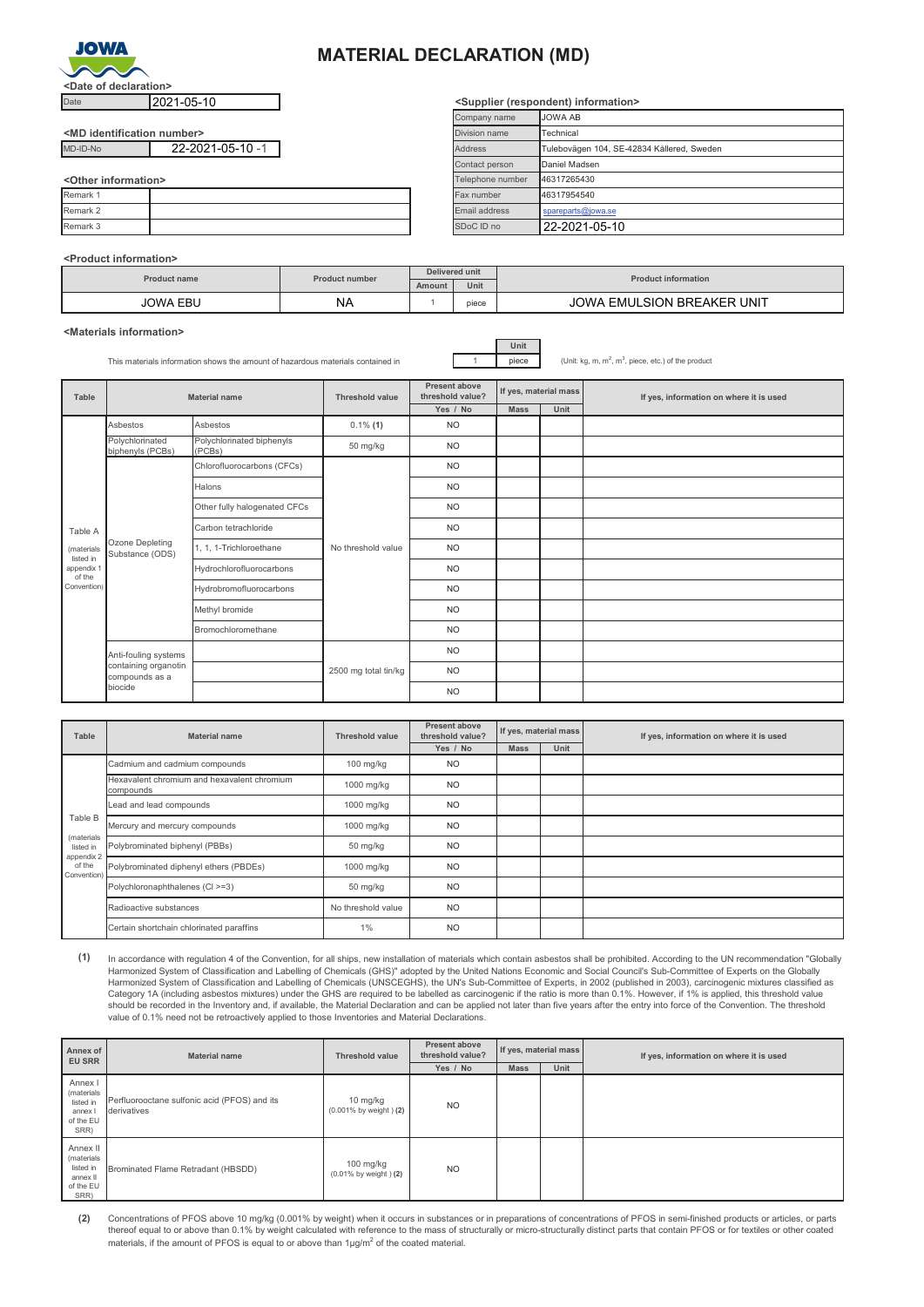

## **MATERIAL DECLARATION (MD)**

| <md identification="" number=""></md> |                  |
|---------------------------------------|------------------|
| MD-ID-No                              | 22-2021-05-10 -1 |

**<Other information>**

| $\sim$ Ullei IIIIUIIIIaliuii $\sim$ |  | $\blacksquare$ | 1700 17200706 |
|-------------------------------------|--|----------------|---------------|
| Remark 1                            |  | Fax number     | 46317954540   |
| Remark 2                            |  | Email address  | spareparts@id |
| Remark 3                            |  | SDoC ID no     | 22-2021-      |
|                                     |  |                |               |

## **<Product information>**

| <b>Product name</b> | <b>Product number</b> | Delivered unit |       | <b>Product information</b>                  |  |
|---------------------|-----------------------|----------------|-------|---------------------------------------------|--|
|                     |                       | Amount         | Unit  |                                             |  |
| JOWA EBL<br>$\sim$  | <b>NA</b>             |                | piece | <b>EMULSION BREAKER UNIT</b><br><b>AWOL</b> |  |

**<Materials information>**

This materials information shows the amount of hazardous materials contained in 1 piece

**Unit**

 $, m<sup>3</sup>$ , piece, etc.) of the product

| Table                   | <b>Material name</b>                                                      |                                     | <b>Threshold value</b> | Present above<br>threshold value? | If yes, material mass |      | If yes, information on where it is used |  |
|-------------------------|---------------------------------------------------------------------------|-------------------------------------|------------------------|-----------------------------------|-----------------------|------|-----------------------------------------|--|
|                         |                                                                           |                                     |                        | Yes / No                          | <b>Mass</b>           | Unit |                                         |  |
|                         | Asbestos                                                                  | Asbestos                            | $0.1\%$ (1)            | <b>NO</b>                         |                       |      |                                         |  |
|                         | Polychlorinated<br>biphenyls (PCBs)                                       | Polychlorinated biphenyls<br>(PCBs) | 50 mg/kg               | <b>NO</b>                         |                       |      |                                         |  |
|                         | Chlorofluorocarbons (CFCs)                                                |                                     | <b>NO</b>              |                                   |                       |      |                                         |  |
|                         | Ozone Depleting<br>Substance (ODS)                                        | Halons                              | No threshold value     | <b>NO</b>                         |                       |      |                                         |  |
|                         |                                                                           | Other fully halogenated CFCs        |                        | <b>NO</b>                         |                       |      |                                         |  |
| Table A                 |                                                                           | Carbon tetrachloride                |                        | <b>NO</b>                         |                       |      |                                         |  |
| (materials<br>listed in |                                                                           | 1, 1, 1-Trichloroethane             |                        | <b>NO</b>                         |                       |      |                                         |  |
| appendix 1<br>of the    |                                                                           | Hydrochlorofluorocarbons            |                        | <b>NO</b>                         |                       |      |                                         |  |
| Convention)             |                                                                           | Hydrobromofluorocarbons             |                        | <b>NO</b>                         |                       |      |                                         |  |
|                         |                                                                           | Methyl bromide                      |                        | <b>NO</b>                         |                       |      |                                         |  |
|                         |                                                                           | Bromochloromethane                  |                        | <b>NO</b>                         |                       |      |                                         |  |
|                         | Anti-fouling systems<br>containing organotin<br>compounds as a<br>biocide |                                     |                        | <b>NO</b>                         |                       |      |                                         |  |
|                         |                                                                           |                                     | 2500 mg total tin/kg   | <b>NO</b>                         |                       |      |                                         |  |
|                         |                                                                           |                                     |                        | <b>NO</b>                         |                       |      |                                         |  |

| Table                               | Material name                                            | Threshold value    | Present above<br>threshold value? | If yes, material mass |      | If yes, information on where it is used |  |
|-------------------------------------|----------------------------------------------------------|--------------------|-----------------------------------|-----------------------|------|-----------------------------------------|--|
|                                     |                                                          |                    | Yes / No                          | <b>Mass</b>           | Unit |                                         |  |
|                                     | Cadmium and cadmium compounds                            | 100 mg/kg          | <b>NO</b>                         |                       |      |                                         |  |
|                                     | Hexavalent chromium and hexavalent chromium<br>compounds | 1000 mg/kg         | <b>NO</b>                         |                       |      |                                         |  |
|                                     | Lead and lead compounds                                  | 1000 mg/kg         | <b>NO</b>                         |                       |      |                                         |  |
| Table B                             | Mercury and mercury compounds                            | 1000 mg/kg         | <b>NO</b>                         |                       |      |                                         |  |
| (materials<br>listed in             | Polybrominated biphenyl (PBBs)                           | 50 mg/kg           | <b>NO</b>                         |                       |      |                                         |  |
| appendix 2<br>of the<br>Convention) | Polybrominated diphenyl ethers (PBDEs)                   | 1000 mg/kg         | <b>NO</b>                         |                       |      |                                         |  |
|                                     | Polychloronaphthalenes (CI >=3)                          | 50 mg/kg           | <b>NO</b>                         |                       |      |                                         |  |
|                                     | Radioactive substances                                   | No threshold value | <b>NO</b>                         |                       |      |                                         |  |
|                                     | Certain shortchain chlorinated paraffins                 | 1%                 | <b>NO</b>                         |                       |      |                                         |  |

**(1)** In accordance with regulation 4 of the Convention, for all ships, new installation of materials which contain asbestos shall be prohibited. According to the UN recommendation "Globally Harmonized System of Classification and Labelling of Chemicals (GHS)" adopted by the United Nations Economic and Social Council's Sub-Committee of Experts on the Globally<br>Harmonized System of Classification and Labelling o should be recorded in the Inventory and, if available, the Material Declaration and can be applied not later than five years after the entry into force of the Convention. The threshold value of 0.1% need not be retroactively applied to those Inventories and Material Declarations.

| Annex of<br><b>EU SRR</b>                                            | <b>Material name</b>                                        | <b>Threshold value</b>                     | Present above<br>threshold value? | If yes, material mass |      | If yes, information on where it is used |  |
|----------------------------------------------------------------------|-------------------------------------------------------------|--------------------------------------------|-----------------------------------|-----------------------|------|-----------------------------------------|--|
|                                                                      |                                                             |                                            | Yes / No                          | <b>Mass</b>           | Unit |                                         |  |
| Annex I<br>(materials<br>listed in<br>annex<br>of the EU<br>SRR)     | Perfluorooctane sulfonic acid (PFOS) and its<br>derivatives | 10 mg/kg<br>(0.001% by weight) (2)         | N <sub>O</sub>                    |                       |      |                                         |  |
| Annex II<br>(materials<br>listed in<br>annex II<br>of the EU<br>SRR) | Brominated Flame Retradant (HBSDD)                          | $100$ mg/kg<br>$(0.01\%$ by weight $)$ (2) | N <sub>O</sub>                    |                       |      |                                         |  |

**(2)** Concentrations of PFOS above 10 mg/kg (0.001% by weight) when it occurs in substances or in preparations of concentrations of PFOS in semi-finished products or articles, or parts thereof equal to or above than 0.1% by weight calculated with reference to the mass of structurally or micro-structurally distinct parts that contain PFOS or for textiles or other coated materials, if the amount of PFOS is equal to or above than 1 $\mu$ g/m<sup>2</sup> of the coated material.